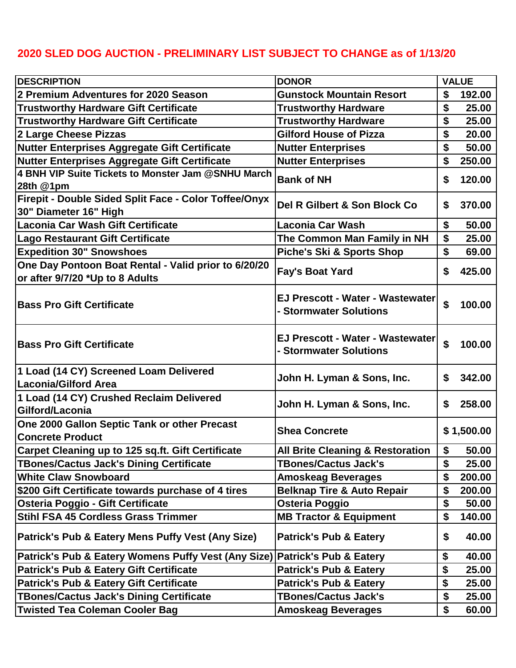## **2020 SLED DOG AUCTION - PRELIMINARY LIST SUBJECT TO CHANGE as of 1/13/20**

| <b>DESCRIPTION</b>                                                                      | <b>DONOR</b>                                               | <b>VALUE</b> |            |
|-----------------------------------------------------------------------------------------|------------------------------------------------------------|--------------|------------|
| 2 Premium Adventures for 2020 Season                                                    | <b>Gunstock Mountain Resort</b>                            | \$           | 192.00     |
| Trustworthy Hardware Gift Certificate                                                   | <b>Trustworthy Hardware</b>                                | \$           | 25.00      |
| Trustworthy Hardware Gift Certificate                                                   | <b>Trustworthy Hardware</b>                                | \$           | 25.00      |
| 2 Large Cheese Pizzas                                                                   | <b>Gilford House of Pizza</b>                              | \$           | 20.00      |
| Nutter Enterprises Aggregate Gift Certificate                                           | <b>Nutter Enterprises</b>                                  | \$           | 50.00      |
| Nutter Enterprises Aggregate Gift Certificate                                           | <b>Nutter Enterprises</b>                                  | \$           | 250.00     |
| 4 BNH VIP Suite Tickets to Monster Jam @SNHU March<br>28th @1pm                         | <b>Bank of NH</b>                                          | \$           | 120.00     |
| Firepit - Double Sided Split Face - Color Toffee/Onyx                                   |                                                            |              |            |
| 30" Diameter 16" High                                                                   | Del R Gilbert & Son Block Co                               | \$           | 370.00     |
| Laconia Car Wash Gift Certificate                                                       | <b>Laconia Car Wash</b>                                    | \$           | 50.00      |
| Lago Restaurant Gift Certificate                                                        | The Common Man Family in NH                                | \$           | 25.00      |
| <b>Expedition 30" Snowshoes</b>                                                         | <b>Piche's Ski &amp; Sports Shop</b>                       | \$           | 69.00      |
| One Day Pontoon Boat Rental - Valid prior to 6/20/20<br>or after 9/7/20 *Up to 8 Adults | <b>Fay's Boat Yard</b>                                     | \$           | 425.00     |
| <b>Bass Pro Gift Certificate</b>                                                        | EJ Prescott - Water - Wastewater<br>- Stormwater Solutions | \$           | 100.00     |
| <b>Bass Pro Gift Certificate</b>                                                        | EJ Prescott - Water - Wastewater<br>- Stormwater Solutions | \$           | 100.00     |
| 1 Load (14 CY) Screened Loam Delivered<br>Laconia/Gilford Area                          | John H. Lyman & Sons, Inc.                                 | S            | 342.00     |
| 1 Load (14 CY) Crushed Reclaim Delivered<br>Gilford/Laconia                             | John H. Lyman & Sons, Inc.                                 | \$           | 258.00     |
| One 2000 Gallon Septic Tank or other Precast<br>Concrete Product                        | <b>Shea Concrete</b>                                       |              | \$1,500.00 |
| Carpet Cleaning up to 125 sq.ft. Gift Certificate                                       | <b>All Brite Cleaning &amp; Restoration</b>                |              | 50.00      |
| TBones/Cactus Jack's Dining Certificate                                                 | <b>TBones/Cactus Jack's</b>                                | \$           | 25.00      |
| White Claw Snowboard                                                                    | <b>Amoskeag Beverages</b>                                  | \$           | 200.00     |
| \$200 Gift Certificate towards purchase of 4 tires                                      | <b>Belknap Tire &amp; Auto Repair</b>                      | \$           | 200.00     |
| <b>Osteria Poggio - Gift Certificate</b>                                                | Osteria Poggio                                             | \$           | 50.00      |
| Stihl FSA 45 Cordless Grass Trimmer                                                     | <b>MB Tractor &amp; Equipment</b>                          | \$           | 140.00     |
| Patrick's Pub & Eatery Mens Puffy Vest (Any Size)                                       | <b>Patrick's Pub &amp; Eatery</b>                          | \$           | 40.00      |
| Patrick's Pub & Eatery Womens Puffy Vest (Any Size) Patrick's Pub & Eatery              |                                                            | \$           | 40.00      |
| Patrick's Pub & Eatery Gift Certificate                                                 | <b>Patrick's Pub &amp; Eatery</b>                          | \$           | 25.00      |
| Patrick's Pub & Eatery Gift Certificate                                                 | <b>Patrick's Pub &amp; Eatery</b>                          | \$           | 25.00      |
| TBones/Cactus Jack's Dining Certificate                                                 | <b>TBones/Cactus Jack's</b>                                | \$           | 25.00      |
| Twisted Tea Coleman Cooler Bag                                                          | <b>Amoskeag Beverages</b>                                  | \$           | 60.00      |